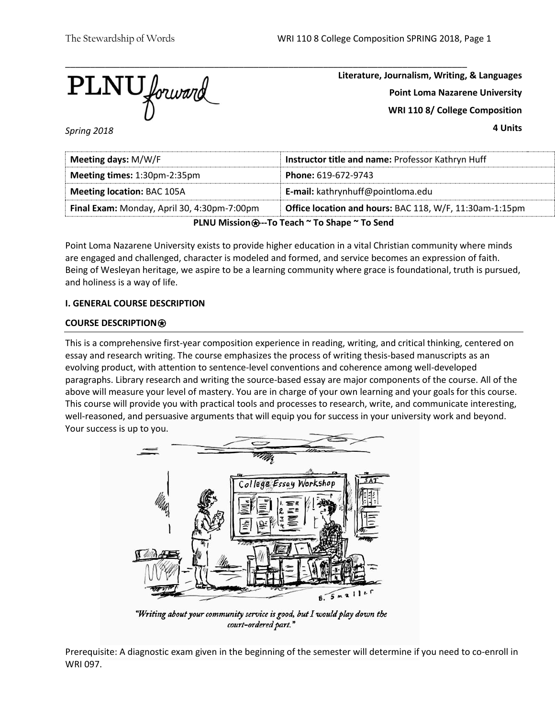$\overline{\text{PLNU}}$  forward

**Literature, Journalism, Writing, & Languages Point Loma Nazarene University WRI 110 8/ College Composition**

**4 Units**

*Spring 2018*

| Meeting days: M/W/F                                                                                    | Instructor title and name: Professor Kathryn Huff |  |  |
|--------------------------------------------------------------------------------------------------------|---------------------------------------------------|--|--|
| Meeting times: 1:30pm-2:35pm<br><b>Phone: 619-672-9743</b>                                             |                                                   |  |  |
| <b>Meeting location: BAC 105A</b>                                                                      | <b>E-mail:</b> kathrynhuff@pointloma.edu          |  |  |
| Office location and hours: BAC 118, W/F, 11:30am-1:15pm<br>Final Exam: Monday, April 30, 4:30pm-7:00pm |                                                   |  |  |
| PLNU Mission <b>⊕</b> --To Teach ~ To Shape ~ To Send                                                  |                                                   |  |  |

Point Loma Nazarene University exists to provide higher education in a vital Christian community where minds are engaged and challenged, character is modeled and formed, and service becomes an expression of faith. Being of Wesleyan heritage, we aspire to be a learning community where grace is foundational, truth is pursued, and holiness is a way of life.

## **I. GENERAL COURSE DESCRIPTION**

## **COURSE DESCRIPTION**⍟

This is a comprehensive first-year composition experience in reading, writing, and critical thinking, centered on essay and research writing. The course emphasizes the process of writing thesis-based manuscripts as an evolving product, with attention to sentence-level conventions and coherence among well-developed paragraphs. Library research and writing the source-based essay are major components of the course. All of the above will measure your level of mastery. You are in charge of your own learning and your goals for this course. This course will provide you with practical tools and processes to research, write, and communicate interesting, well-reasoned, and persuasive arguments that will equip you for success in your university work and beyond. Your success is up to you.



"Writing about your community service is good, but I would play down the court-ordered part."

Prerequisite: A diagnostic exam given in the beginning of the semester will determine if you need to co-enroll in WRI 097.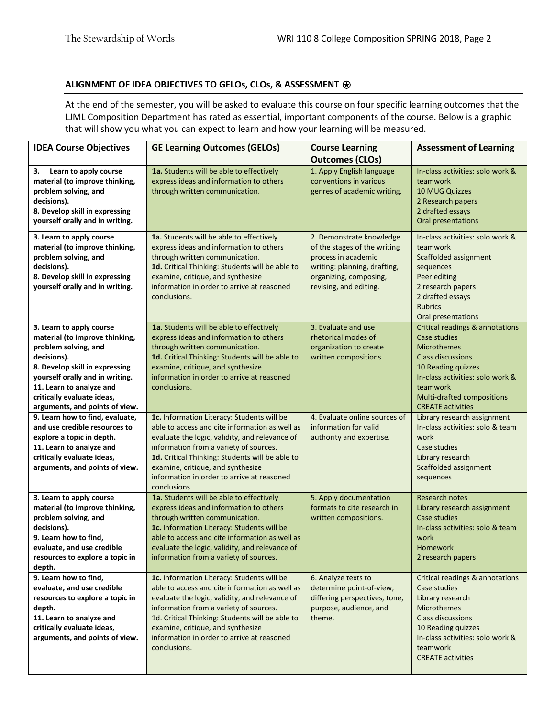## **ALIGNMENT OF IDEA OBJECTIVES TO GELOs, CLOs, & ASSESSMENT** ⍟

At the end of the semester, you will be asked to evaluate this course on four specific learning outcomes that the LJML Composition Department has rated as essential, important components of the course. Below is a graphic that will show you what you can expect to learn and how your learning will be measured.

| <b>IDEA Course Objectives</b>                                                                                                                                                                                                                                      | <b>GE Learning Outcomes (GELOs)</b>                                                                                                                                                                                                                                                                                                            | <b>Course Learning</b><br><b>Outcomes (CLOs)</b>                                                                                                                    | <b>Assessment of Learning</b>                                                                                                                                                                                                     |
|--------------------------------------------------------------------------------------------------------------------------------------------------------------------------------------------------------------------------------------------------------------------|------------------------------------------------------------------------------------------------------------------------------------------------------------------------------------------------------------------------------------------------------------------------------------------------------------------------------------------------|---------------------------------------------------------------------------------------------------------------------------------------------------------------------|-----------------------------------------------------------------------------------------------------------------------------------------------------------------------------------------------------------------------------------|
| Learn to apply course<br>3.<br>material (to improve thinking,<br>problem solving, and<br>decisions).<br>8. Develop skill in expressing<br>yourself orally and in writing.                                                                                          | 1a. Students will be able to effectively<br>express ideas and information to others<br>through written communication.                                                                                                                                                                                                                          | 1. Apply English language<br>conventions in various<br>genres of academic writing.                                                                                  | In-class activities: solo work &<br>teamwork<br><b>10 MUG Quizzes</b><br>2 Research papers<br>2 drafted essays<br>Oral presentations                                                                                              |
| 3. Learn to apply course<br>material (to improve thinking,<br>problem solving, and<br>decisions).<br>8. Develop skill in expressing<br>yourself orally and in writing.                                                                                             | 1a. Students will be able to effectively<br>express ideas and information to others<br>through written communication.<br>1d. Critical Thinking: Students will be able to<br>examine, critique, and synthesize<br>information in order to arrive at reasoned<br>conclusions.                                                                    | 2. Demonstrate knowledge<br>of the stages of the writing<br>process in academic<br>writing: planning, drafting,<br>organizing, composing,<br>revising, and editing. | In-class activities: solo work &<br>teamwork<br>Scaffolded assignment<br>sequences<br>Peer editing<br>2 research papers<br>2 drafted essays<br><b>Rubrics</b><br>Oral presentations                                               |
| 3. Learn to apply course<br>material (to improve thinking,<br>problem solving, and<br>decisions).<br>8. Develop skill in expressing<br>yourself orally and in writing.<br>11. Learn to analyze and<br>critically evaluate ideas,<br>arguments, and points of view. | 1a. Students will be able to effectively<br>express ideas and information to others<br>through written communication.<br>1d. Critical Thinking: Students will be able to<br>examine, critique, and synthesize<br>information in order to arrive at reasoned<br>conclusions.                                                                    | 3. Evaluate and use<br>rhetorical modes of<br>organization to create<br>written compositions.                                                                       | Critical readings & annotations<br>Case studies<br><b>Microthemes</b><br><b>Class discussions</b><br>10 Reading quizzes<br>In-class activities: solo work &<br>teamwork<br>Multi-drafted compositions<br><b>CREATE activities</b> |
| 9. Learn how to find, evaluate,<br>and use credible resources to<br>explore a topic in depth.<br>11. Learn to analyze and<br>critically evaluate ideas,<br>arguments, and points of view.                                                                          | 1c. Information Literacy: Students will be<br>able to access and cite information as well as<br>evaluate the logic, validity, and relevance of<br>information from a variety of sources.<br>1d. Critical Thinking: Students will be able to<br>examine, critique, and synthesize<br>information in order to arrive at reasoned<br>conclusions. | 4. Evaluate online sources of<br>information for valid<br>authority and expertise.                                                                                  | Library research assignment<br>In-class activities: solo & team<br>work<br>Case studies<br>Library research<br>Scaffolded assignment<br>sequences                                                                                 |
| 3. Learn to apply course<br>material (to improve thinking,<br>problem solving, and<br>decisions).<br>9. Learn how to find,<br>evaluate, and use credible<br>resources to explore a topic in<br>depth.                                                              | 1a. Students will be able to effectively<br>express ideas and information to others<br>through written communication.<br>1c. Information Literacy: Students will be<br>able to access and cite information as well as<br>evaluate the logic, validity, and relevance of<br>information from a variety of sources.                              | 5. Apply documentation<br>formats to cite research in<br>written compositions.                                                                                      | Research notes<br>Library research assignment<br>Case studies<br>In-class activities: solo & team<br>work<br><b>Homework</b><br>2 research papers                                                                                 |
| 9. Learn how to find,<br>evaluate, and use credible<br>resources to explore a topic in<br>depth.<br>11. Learn to analyze and<br>critically evaluate ideas,<br>arguments, and points of view.                                                                       | 1c. Information Literacy: Students will be<br>able to access and cite information as well as<br>evaluate the logic, validity, and relevance of<br>information from a variety of sources.<br>1d. Critical Thinking: Students will be able to<br>examine, critique, and synthesize<br>information in order to arrive at reasoned<br>conclusions. | 6. Analyze texts to<br>determine point-of-view,<br>differing perspectives, tone,<br>purpose, audience, and<br>theme.                                                | Critical readings & annotations<br>Case studies<br>Library research<br><b>Microthemes</b><br><b>Class discussions</b><br>10 Reading quizzes<br>In-class activities: solo work &<br>teamwork<br><b>CREATE activities</b>           |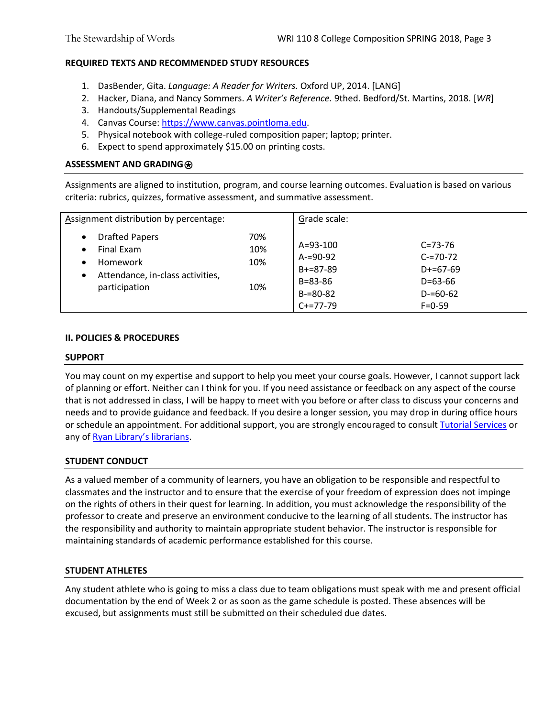## **REQUIRED TEXTS AND RECOMMENDED STUDY RESOURCES**

- 1. DasBender, Gita. *Language: A Reader for Writers.* Oxford UP, 2014. [LANG]
- 2. Hacker, Diana, and Nancy Sommers. *A Writer's Reference.* 9thed. Bedford/St. Martins, 2018. [*WR*]
- 3. Handouts/Supplemental Readings
- 4. Canvas Course[: https://www.canvas.pointloma.edu.](https://www.canvas.pointloma.edu/)
- 5. Physical notebook with college-ruled composition paper; laptop; printer.
- 6. Expect to spend approximately \$15.00 on printing costs.

## **ASSESSMENT AND GRADING**⍟

Assignments are aligned to institution, program, and course learning outcomes. Evaluation is based on various criteria: rubrics, quizzes, formative assessment, and summative assessment.

| Assignment distribution by percentage:                                                                                                                   |                          | Grade scale:                                                                            |                                                                                            |
|----------------------------------------------------------------------------------------------------------------------------------------------------------|--------------------------|-----------------------------------------------------------------------------------------|--------------------------------------------------------------------------------------------|
| <b>Drafted Papers</b><br>$\bullet$<br>Final Exam<br>$\bullet$<br>Homework<br>$\bullet$<br>Attendance, in-class activities,<br>$\bullet$<br>participation | 70%<br>10%<br>10%<br>10% | A=93-100<br>$A = 90 - 92$<br>$B+=87-89$<br>$B = 83 - 86$<br>$B = 80 - 82$<br>$C+=77-79$ | $C = 73 - 76$<br>$C = 70 - 72$<br>$D+=67-69$<br>$D=63-66$<br>$D = 60 - 62$<br>$F = 0 - 59$ |

## **II. POLICIES & PROCEDURES**

#### **SUPPORT**

You may count on my expertise and support to help you meet your course goals. However, I cannot support lack of planning or effort. Neither can I think for you. If you need assistance or feedback on any aspect of the course that is not addressed in class, I will be happy to meet with you before or after class to discuss your concerns and needs and to provide guidance and feedback. If you desire a longer session, you may drop in during office hours or schedule an appointment. For additional support, you are strongly encouraged to consul[t Tutorial Services](http://www.pointloma.edu/experience/offices/student-services/tutorial-services/services) or any of [Ryan Library's librarians](http://www.pointloma.edu/ryanlibrary).

## **STUDENT CONDUCT**

As a valued member of a community of learners, you have an obligation to be responsible and respectful to classmates and the instructor and to ensure that the exercise of your freedom of expression does not impinge on the rights of others in their quest for learning. In addition, you must acknowledge the responsibility of the professor to create and preserve an environment conducive to the learning of all students. The instructor has the responsibility and authority to maintain appropriate student behavior. The instructor is responsible for maintaining standards of academic performance established for this course.

## **STUDENT ATHLETES**

Any student athlete who is going to miss a class due to team obligations must speak with me and present official documentation by the end of Week 2 or as soon as the game schedule is posted. These absences will be excused, but assignments must still be submitted on their scheduled due dates.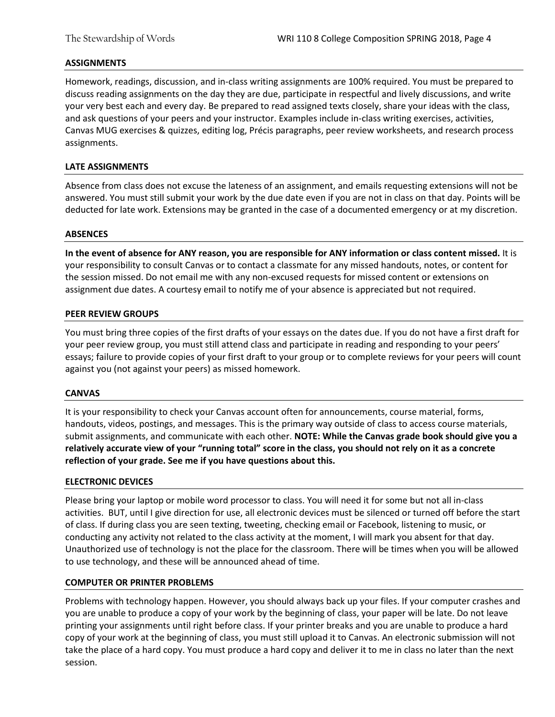## **ASSIGNMENTS**

Homework, readings, discussion, and in-class writing assignments are 100% required. You must be prepared to discuss reading assignments on the day they are due, participate in respectful and lively discussions, and write your very best each and every day. Be prepared to read assigned texts closely, share your ideas with the class, and ask questions of your peers and your instructor. Examples include in-class writing exercises, activities, Canvas MUG exercises & quizzes, editing log, Précis paragraphs, peer review worksheets, and research process assignments.

### **LATE ASSIGNMENTS**

Absence from class does not excuse the lateness of an assignment, and emails requesting extensions will not be answered. You must still submit your work by the due date even if you are not in class on that day. Points will be deducted for late work. Extensions may be granted in the case of a documented emergency or at my discretion.

#### **ABSENCES**

**In the event of absence for ANY reason, you are responsible for ANY information or class content missed.** It is your responsibility to consult Canvas or to contact a classmate for any missed handouts, notes, or content for the session missed. Do not email me with any non-excused requests for missed content or extensions on assignment due dates. A courtesy email to notify me of your absence is appreciated but not required.

#### **PEER REVIEW GROUPS**

You must bring three copies of the first drafts of your essays on the dates due. If you do not have a first draft for your peer review group, you must still attend class and participate in reading and responding to your peers' essays; failure to provide copies of your first draft to your group or to complete reviews for your peers will count against you (not against your peers) as missed homework.

#### **CANVAS**

It is your responsibility to check your Canvas account often for announcements, course material, forms, handouts, videos, postings, and messages. This is the primary way outside of class to access course materials, submit assignments, and communicate with each other. **NOTE: While the Canvas grade book should give you a relatively accurate view of your "running total" score in the class, you should not rely on it as a concrete reflection of your grade. See me if you have questions about this.** 

#### **ELECTRONIC DEVICES**

Please bring your laptop or mobile word processor to class. You will need it for some but not all in-class activities. BUT, until I give direction for use, all electronic devices must be silenced or turned off before the start of class. If during class you are seen texting, tweeting, checking email or Facebook, listening to music, or conducting any activity not related to the class activity at the moment, I will mark you absent for that day. Unauthorized use of technology is not the place for the classroom. There will be times when you will be allowed to use technology, and these will be announced ahead of time.

## **COMPUTER OR PRINTER PROBLEMS**

Problems with technology happen. However, you should always back up your files. If your computer crashes and you are unable to produce a copy of your work by the beginning of class, your paper will be late. Do not leave printing your assignments until right before class. If your printer breaks and you are unable to produce a hard copy of your work at the beginning of class, you must still upload it to Canvas. An electronic submission will not take the place of a hard copy. You must produce a hard copy and deliver it to me in class no later than the next session.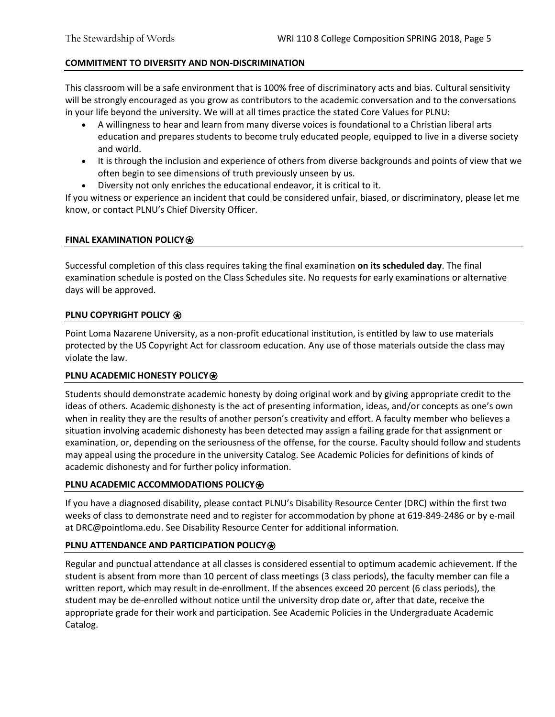## **COMMITMENT TO DIVERSITY AND NON-DISCRIMINATION**

This classroom will be a safe environment that is 100% free of discriminatory acts and bias. Cultural sensitivity will be strongly encouraged as you grow as contributors to the academic conversation and to the conversations in your life beyond the university. We will at all times practice the stated Core Values for PLNU:

- A willingness to hear and learn from many diverse voices is foundational to a Christian liberal arts education and prepares students to become truly educated people, equipped to live in a diverse society and world.
- It is through the inclusion and experience of others from diverse backgrounds and points of view that we often begin to see dimensions of truth previously unseen by us.
- Diversity not only enriches the educational endeavor, it is critical to it.

If you witness or experience an incident that could be considered unfair, biased, or discriminatory, please let me know, or contact PLNU's Chief Diversity Officer.

## **FINAL EXAMINATION POLICY**⍟

Successful completion of this class requires taking the final examination **on its scheduled day**. The final examination schedule is posted on the Class Schedules site. No requests for early examinations or alternative days will be approved.

## **PLNU COPYRIGHT POLICY**  $\bigcirc$

Point Loma Nazarene University, as a non-profit educational institution, is entitled by law to use materials protected by the US Copyright Act for classroom education. Any use of those materials outside the class may violate the law.

# **PLNU ACADEMIC HONESTY POLICY<sup>**</sup>

Students should demonstrate academic honesty by doing original work and by giving appropriate credit to the ideas of others. Academic dishonesty is the act of presenting information, ideas, and/or concepts as one's own when in reality they are the results of another person's creativity and effort. A faculty member who believes a situation involving academic dishonesty has been detected may assign a failing grade for that assignment or examination, or, depending on the seriousness of the offense, for the course. Faculty should follow and students may appeal using the procedure in the university Catalog. See Academic Policies for definitions of kinds of academic dishonesty and for further policy information.

## **PLNU ACADEMIC ACCOMMODATIONS POLICY<sup>**</sup>

If you have a diagnosed disability, please contact PLNU's Disability Resource Center (DRC) within the first two weeks of class to demonstrate need and to register for accommodation by phone at 619-849-2486 or by e-mail at DRC@pointloma.edu. See Disability Resource Center for additional information.

# **PLNU ATTENDANCE AND PARTICIPATION POLICY<sup>®</sup>**

Regular and punctual attendance at all classes is considered essential to optimum academic achievement. If the student is absent from more than 10 percent of class meetings (3 class periods), the faculty member can file a written report, which may result in de-enrollment. If the absences exceed 20 percent (6 class periods), the student may be de-enrolled without notice until the university drop date or, after that date, receive the appropriate grade for their work and participation. See Academic Policies in the Undergraduate Academic Catalog.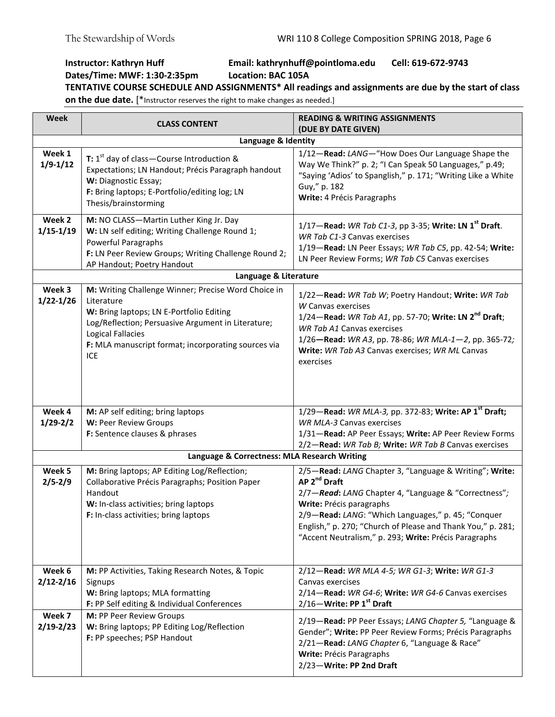# **Instructor: Kathryn Huff Email: kathrynhuff@pointloma.edu Cell: 619-672-9743 Dates/Time: MWF: 1:30-2:35pm Location: BAC 105A TENTATIVE COURSE SCHEDULE AND ASSIGNMENTS\* All readings and assignments are due by the start of class**

**on the due date.** [\*Instructor reserves the right to make changes as needed.]

| Week                    | <b>CLASS CONTENT</b>                                                                                                                                                                                                                                                 | <b>READING &amp; WRITING ASSIGNMENTS</b><br>(DUE BY DATE GIVEN)                                                                                                                                                                                                                                                                                      |  |  |
|-------------------------|----------------------------------------------------------------------------------------------------------------------------------------------------------------------------------------------------------------------------------------------------------------------|------------------------------------------------------------------------------------------------------------------------------------------------------------------------------------------------------------------------------------------------------------------------------------------------------------------------------------------------------|--|--|
|                         | Language & Identity                                                                                                                                                                                                                                                  |                                                                                                                                                                                                                                                                                                                                                      |  |  |
| Week 1<br>$1/9 - 1/12$  | <b>T:</b> $1^{st}$ day of class – Course Introduction &<br>Expectations; LN Handout; Précis Paragraph handout<br>W: Diagnostic Essay;<br>F: Bring laptops; E-Portfolio/editing log; LN<br>Thesis/brainstorming                                                       | 1/12-Read: LANG-"How Does Our Language Shape the<br>Way We Think?" p. 2; "I Can Speak 50 Languages," p.49;<br>"Saying 'Adios' to Spanglish," p. 171; "Writing Like a White<br>Guy," p. 182<br>Write: 4 Précis Paragraphs                                                                                                                             |  |  |
| Week 2<br>$1/15 - 1/19$ | M: NO CLASS-Martin Luther King Jr. Day<br>W: LN self editing; Writing Challenge Round 1;<br>Powerful Paragraphs<br>F: LN Peer Review Groups; Writing Challenge Round 2;<br>AP Handout; Poetry Handout                                                                | 1/17—Read: WR Tab C1-3, pp 3-35; Write: LN 1 <sup>st</sup> Draft.<br>WR Tab C1-3 Canvas exercises<br>1/19-Read: LN Peer Essays; WR Tab C5, pp. 42-54; Write:<br>LN Peer Review Forms; WR Tab C5 Canvas exercises                                                                                                                                     |  |  |
|                         | Language & Literature                                                                                                                                                                                                                                                |                                                                                                                                                                                                                                                                                                                                                      |  |  |
| Week 3<br>$1/22 - 1/26$ | M: Writing Challenge Winner; Precise Word Choice in<br>Literature<br>W: Bring laptops; LN E-Portfolio Editing<br>Log/Reflection; Persuasive Argument in Literature;<br><b>Logical Fallacies</b><br>F: MLA manuscript format; incorporating sources via<br><b>ICE</b> | 1/22-Read: WR Tab W; Poetry Handout; Write: WR Tab<br>W Canvas exercises<br>$1/24$ –Read: WR Tab A1, pp. 57-70; Write: LN 2 <sup>nd</sup> Draft;<br><b>WR Tab A1 Canvas exercises</b><br>1/26-Read: WR A3, pp. 78-86; WR MLA-1-2, pp. 365-72;<br>Write: WR Tab A3 Canvas exercises; WR ML Canvas<br>exercises                                        |  |  |
| Week 4                  | M: AP self editing; bring laptops                                                                                                                                                                                                                                    | 1/29-Read: WR MLA-3, pp. 372-83; Write: AP 1 <sup>st</sup> Draft;                                                                                                                                                                                                                                                                                    |  |  |
| $1/29 - 2/2$            | W: Peer Review Groups                                                                                                                                                                                                                                                | <b>WR MLA-3 Canvas exercises</b>                                                                                                                                                                                                                                                                                                                     |  |  |
|                         | F: Sentence clauses & phrases                                                                                                                                                                                                                                        | 1/31-Read: AP Peer Essays; Write: AP Peer Review Forms                                                                                                                                                                                                                                                                                               |  |  |
|                         |                                                                                                                                                                                                                                                                      | 2/2-Read: WR Tab B; Write: WR Tab B Canvas exercises                                                                                                                                                                                                                                                                                                 |  |  |
|                         | Language & Correctness: MLA Research Writing                                                                                                                                                                                                                         |                                                                                                                                                                                                                                                                                                                                                      |  |  |
| Week 5<br>$2/5 - 2/9$   | M: Bring laptops; AP Editing Log/Reflection;<br>Collaborative Précis Paragraphs; Position Paper<br>Handout<br>W: In-class activities; bring laptops<br>F: In-class activities; bring laptops                                                                         | 2/5-Read: LANG Chapter 3, "Language & Writing"; Write:<br>AP 2 <sup>nd</sup> Draft<br>2/7-Read: LANG Chapter 4, "Language & "Correctness";<br>Write: Précis paragraphs<br>2/9-Read: LANG: "Which Languages," p. 45; "Conquer<br>English," p. 270; "Church of Please and Thank You," p. 281;<br>"Accent Neutralism," p. 293; Write: Précis Paragraphs |  |  |
| Week 6<br>$2/12 - 2/16$ | M: PP Activities, Taking Research Notes, & Topic<br>Signups<br>W: Bring laptops; MLA formatting<br>F: PP Self editing & Individual Conferences                                                                                                                       | 2/12-Read: WR MLA 4-5; WR G1-3; Write: WR G1-3<br>Canvas exercises<br>2/14-Read: WR G4-6; Write: WR G4-6 Canvas exercises<br>2/16-Write: PP 1st Draft                                                                                                                                                                                                |  |  |
| Week 7<br>$2/19 - 2/23$ | M: PP Peer Review Groups<br>W: Bring laptops; PP Editing Log/Reflection<br>F: PP speeches; PSP Handout                                                                                                                                                               | 2/19-Read: PP Peer Essays; LANG Chapter 5, "Language &<br>Gender"; Write: PP Peer Review Forms; Précis Paragraphs<br>2/21-Read: LANG Chapter 6, "Language & Race"<br>Write: Précis Paragraphs<br>2/23-Write: PP 2nd Draft                                                                                                                            |  |  |